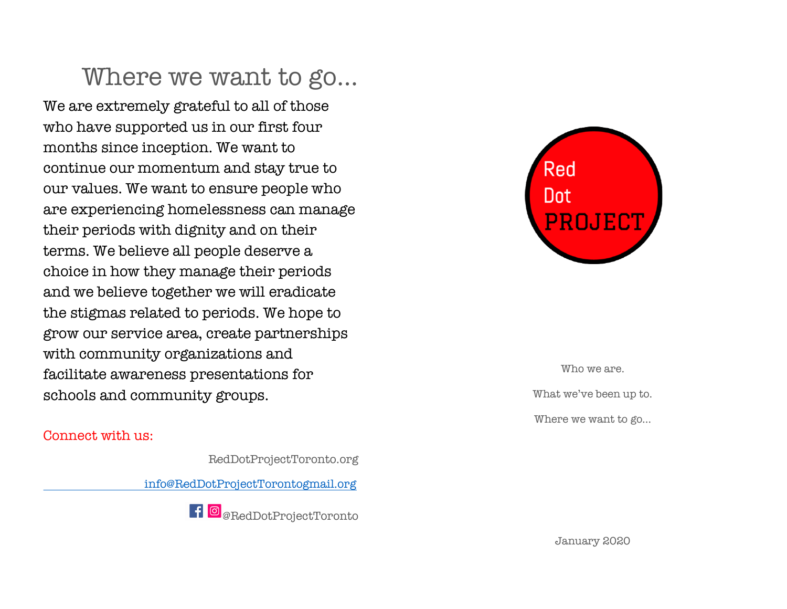# Where we want to go…

We are extremely grateful to all of those who have supported us in our first four months since inception. We want to continue our momentum and stay true to our values. We want to ensure people who are experiencing homelessness can manage their periods with dignity and on their terms. We believe all people deserve a choice in how they manage their periods and we believe together we will eradicate the stigmas related to periods. We hope to grow our service area, create partnerships with community organizations and facilitate awareness presentations for schools and community groups.

#### Connect with us:

RedDotProjectToronto.org

info@RedDotProjectTorontogmail.org





Who we are. What we've been up to. Where we want to go…

January 2020